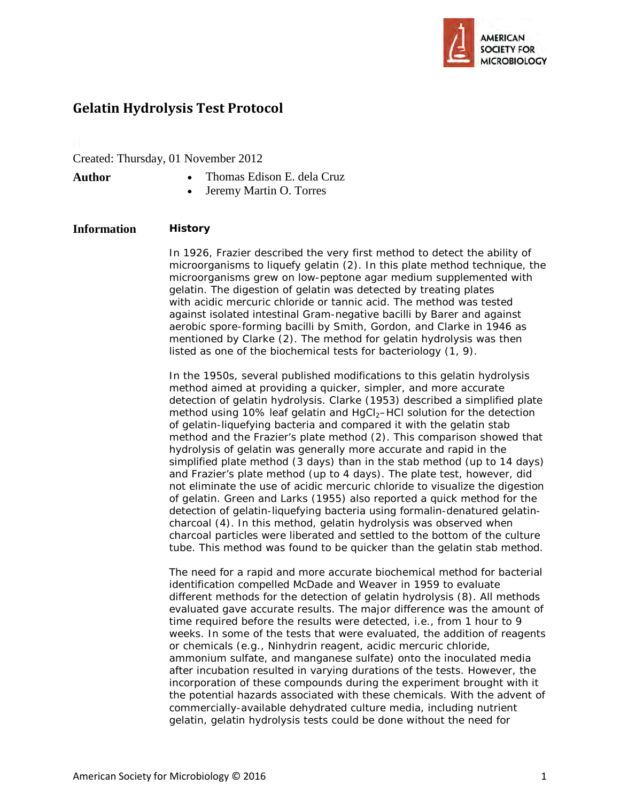

# **Gelatin Hydrolysis Test Protocol**

Created: Thursday, 01 November 2012

- **Author** Thomas Edison E. dela Cruz
	- Jeremy Martin O. Torres

## **Information History**

In 1926, Frazier described the very first method to detect the ability of microorganisms to liquefy gelatin (2). In this plate method technique, the microorganisms grew on low-peptone agar medium supplemented with gelatin. The digestion of gelatin was detected by treating plates with acidic mercuric chloride or tannic acid. The method was tested against isolated intestinal Gram-negative bacilli by Barer and against aerobic spore-forming bacilli by Smith, Gordon, and Clarke in 1946 as mentioned by Clarke (2). The method for gelatin hydrolysis was then listed as one of the biochemical tests for bacteriology (1, 9).

In the 1950s, several published modifications to this gelatin hydrolysis method aimed at providing a quicker, simpler, and more accurate detection of gelatin hydrolysis. Clarke (1953) described a simplified plate method using 10% leaf gelatin and HgCl<sub>2</sub>–HCl solution for the detection of gelatin-liquefying bacteria and compared it with the gelatin stab method and the Frazier's plate method (2). This comparison showed that hydrolysis of gelatin was generally more accurate and rapid in the simplified plate method (3 days) than in the stab method (up to 14 days) and Frazier's plate method (up to 4 days). The plate test, however, did not eliminate the use of acidic mercuric chloride to visualize the digestion of gelatin. Green and Larks (1955) also reported a quick method for the detection of gelatin-liquefying bacteria using formalin-denatured gelatincharcoal (4). In this method, gelatin hydrolysis was observed when charcoal particles were liberated and settled to the bottom of the culture tube. This method was found to be quicker than the gelatin stab method.

The need for a rapid and more accurate biochemical method for bacterial identification compelled McDade and Weaver in 1959 to evaluate different methods for the detection of gelatin hydrolysis (8). All methods evaluated gave accurate results. The major difference was the amount of time required before the results were detected, i.e., from 1 hour to 9 weeks. In some of the tests that were evaluated, the addition of reagents or chemicals (e.g., Ninhydrin reagent, acidic mercuric chloride, ammonium sulfate, and manganese sulfate) onto the inoculated media after incubation resulted in varying durations of the tests. However, the incorporation of these compounds during the experiment brought with it the potential hazards associated with these chemicals. With the advent of commercially-available dehydrated culture media, including nutrient gelatin, gelatin hydrolysis tests could be done without the need for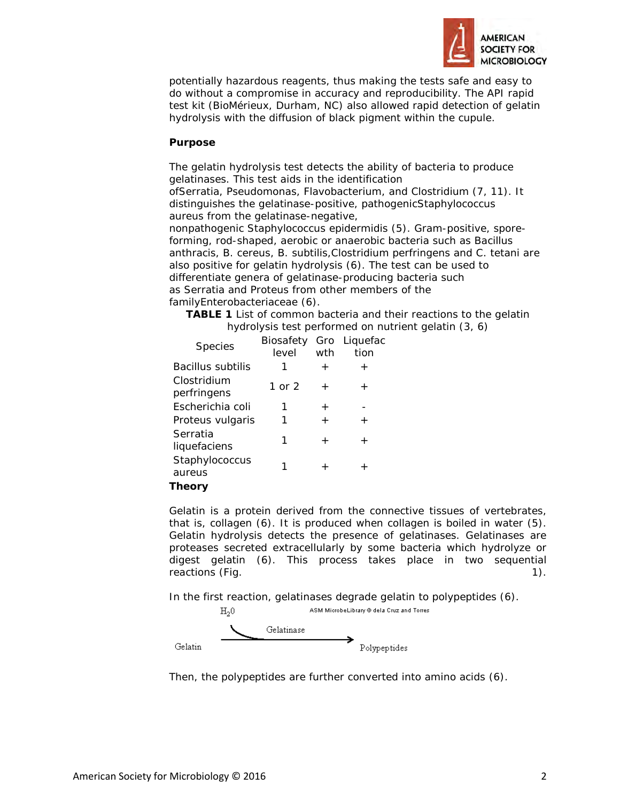

potentially hazardous reagents, thus making the tests safe and easy to do without a compromise in accuracy and reproducibility. The API rapid test kit (BioMérieux, Durham, NC) also allowed rapid detection of gelatin hydrolysis with the diffusion of black pigment within the cupule.

#### **Purpose**

The gelatin hydrolysis test detects the ability of bacteria to produce gelatinases. This test aids in the identification of*Serratia*, *Pseudomonas*, *Flavobacterium*, and *Clostridium* (7, 11). It distinguishes the gelatinase-positive, pathogenic*Staphylococcus aureus* from the gelatinase-negative, nonpathogenic *Staphylococcus epidermidis* (5). Gram-positive, sporeforming, rod-shaped, aerobic or anaerobic bacteria such as *Bacillus anthracis*, *B. cereus*, *B. subtilis*,*Clostridium perfringens* and *C. tetani* are also positive for gelatin hydrolysis (6). The test can be used to differentiate genera of gelatinase-producing bacteria such

as *Serratia* and *Proteus* from other members of the family*Enterobacteriaceae* (6).

**TABLE 1** List of common bacteria and their reactions to the gelatin hydrolysis test performed on nutrient gelatin (3, 6)

| <b>Species</b>             | Biosafety Gro Liquefac<br>level | wth    | tion   |
|----------------------------|---------------------------------|--------|--------|
| <i>Bacillus subtilis</i>   | 1                               | $\pm$  | $\pm$  |
| Clostridium<br>perfringens | 1 or $2$                        | $\pm$  | $^{+}$ |
| Escherichia coli           | 1                               | $\pm$  |        |
| Proteus vulgaris           | 1                               | $\div$ | $\div$ |
| Serratia<br>liquefaciens   | 1                               | $\pm$  | $^{+}$ |
| Staphylococcus<br>aureus   |                                 | $^+$   |        |
| Thanry                     |                                 |        |        |

**Theory**

Gelatin is a protein derived from the connective tissues of vertebrates, that is, collagen (6). It is produced when collagen is boiled in water (5). Gelatin hydrolysis detects the presence of gelatinases. Gelatinases are proteases secreted extracellularly by some bacteria which hydrolyze or digest gelatin (6). This process takes place in two sequential reactions (Fig. 1).

In the first reaction, gelatinases degrade gelatin to polypeptides (6).



Then, the polypeptides are further converted into amino acids (6).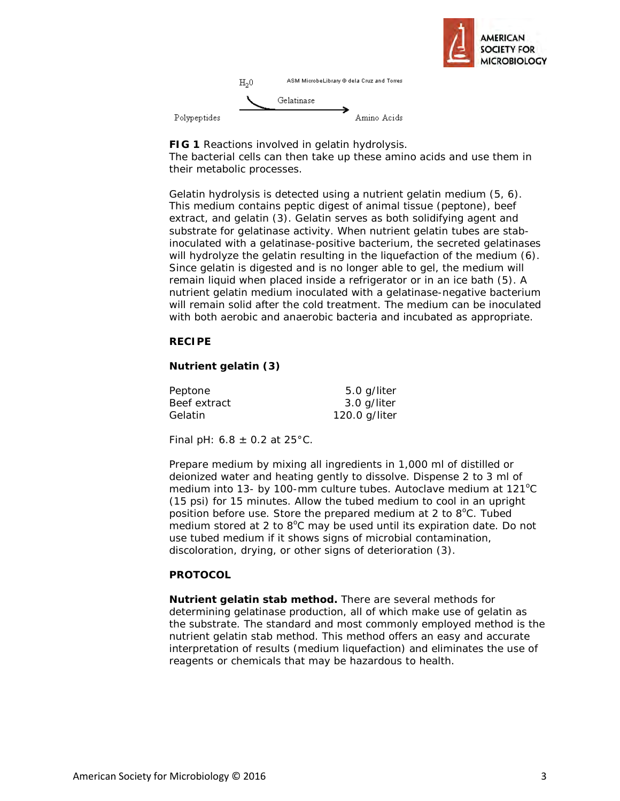



**FIG 1** Reactions involved in gelatin hydrolysis. The bacterial cells can then take up these amino acids and use them in their metabolic processes.

Gelatin hydrolysis is detected using a nutrient gelatin medium (5, 6). This medium contains peptic digest of animal tissue (peptone), beef extract, and gelatin (3). Gelatin serves as both solidifying agent and substrate for gelatinase activity. When nutrient gelatin tubes are stabinoculated with a gelatinase-positive bacterium, the secreted gelatinases will hydrolyze the gelatin resulting in the liquefaction of the medium (6). Since gelatin is digested and is no longer able to gel, the medium will remain liquid when placed inside a refrigerator or in an ice bath (5). A nutrient gelatin medium inoculated with a gelatinase-negative bacterium will remain solid after the cold treatment. The medium can be inoculated with both aerobic and anaerobic bacteria and incubated as appropriate.

### **RECIPE**

## **Nutrient gelatin (3)**

| Peptone      | 5.0 g/liter   |
|--------------|---------------|
| Beef extract | 3.0 g/liter   |
| Gelatin      | 120.0 g/liter |

Final pH:  $6.8 \pm 0.2$  at 25°C.

Prepare medium by mixing all ingredients in 1,000 ml of distilled or deionized water and heating gently to dissolve. Dispense 2 to 3 ml of medium into 13- by 100-mm culture tubes. Autoclave medium at 121°C (15 psi) for 15 minutes. Allow the tubed medium to cool in an upright position before use. Store the prepared medium at 2 to 8°C. Tubed medium stored at 2 to 8°C may be used until its expiration date. Do not use tubed medium if it shows signs of microbial contamination, discoloration, drying, or other signs of deterioration (3).

#### **PROTOCOL**

**Nutrient gelatin stab method.** There are several methods for determining gelatinase production, all of which make use of gelatin as the substrate. The standard and most commonly employed method is the nutrient gelatin stab method. This method offers an easy and accurate interpretation of results (medium liquefaction) and eliminates the use of reagents or chemicals that may be hazardous to health.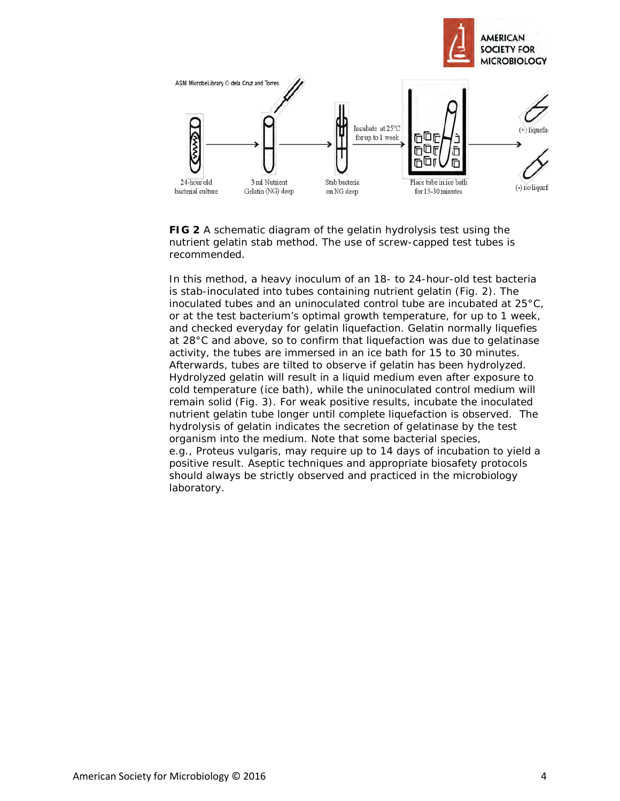

**FIG 2** A schematic diagram of the gelatin hydrolysis test using the nutrient gelatin stab method. The use of screw-capped test tubes is recommended.

In this method, a heavy inoculum of an 18- to 24-hour-old test bacteria is stab-inoculated into tubes containing nutrient gelatin (Fig. 2). The inoculated tubes and an uninoculated control tube are incubated at 25°C, or at the test bacterium's optimal growth temperature, for up to 1 week, and checked everyday for gelatin liquefaction. Gelatin normally liquefies at 28°C and above, so to confirm that liquefaction was due to gelatinase activity, the tubes are immersed in an ice bath for 15 to 30 minutes. Afterwards, tubes are tilted to observe if gelatin has been hydrolyzed. Hydrolyzed gelatin will result in a liquid medium even after exposure to cold temperature (ice bath), while the uninoculated control medium will remain solid (Fig. 3). For weak positive results, incubate the inoculated nutrient gelatin tube longer until complete liquefaction is observed. The hydrolysis of gelatin indicates the secretion of gelatinase by the test organism into the medium. Note that some bacterial species, e.g., *Proteus vulgaris*, may require up to 14 days of incubation to yield a positive result. Aseptic techniques and appropriate biosafety protocols should always be strictly observed and practiced in the microbiology laboratory.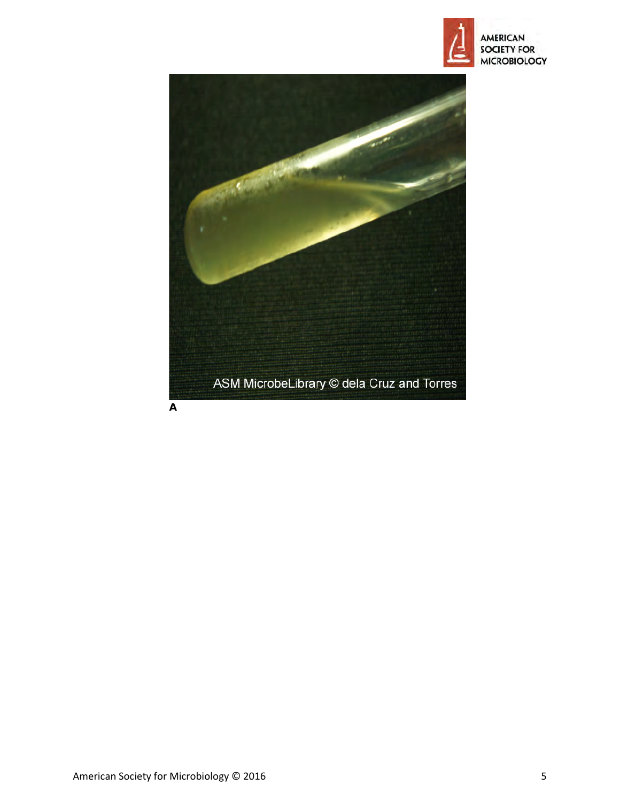



**A**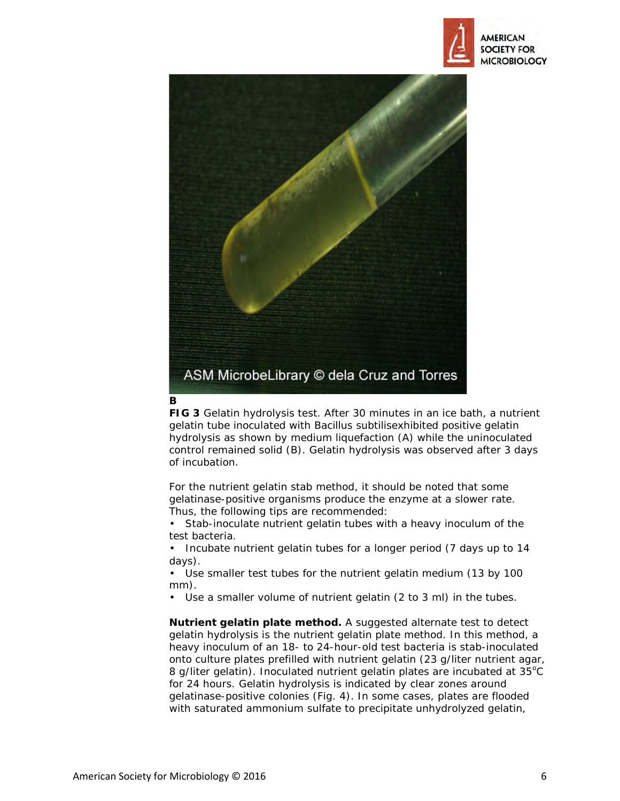



#### **B**

**FIG 3** Gelatin hydrolysis test. After 30 minutes in an ice bath, a nutrient gelatin tube inoculated with *Bacillus subtilis*exhibited positive gelatin hydrolysis as shown by medium liquefaction (A) while the uninoculated control remained solid (B). Gelatin hydrolysis was observed after 3 days of incubation.

For the nutrient gelatin stab method, it should be noted that some gelatinase-positive organisms produce the enzyme at a slower rate. Thus, the following tips are recommended:

Stab-inoculate nutrient gelatin tubes with a heavy inoculum of the test bacteria.

• Incubate nutrient gelatin tubes for a longer period (7 days up to 14 days).

Use smaller test tubes for the nutrient gelatin medium (13 by 100 mm).

• Use a smaller volume of nutrient gelatin (2 to 3 ml) in the tubes.

**Nutrient gelatin plate method.** A suggested alternate test to detect gelatin hydrolysis is the nutrient gelatin plate method. In this method, a heavy inoculum of an 18- to 24-hour-old test bacteria is stab-inoculated onto culture plates prefilled with nutrient gelatin (23 g/liter nutrient agar, 8 g/liter gelatin). Inoculated nutrient gelatin plates are incubated at 35°C for 24 hours. Gelatin hydrolysis is indicated by clear zones around gelatinase-positive colonies (Fig. 4). In some cases, plates are flooded with saturated ammonium sulfate to precipitate unhydrolyzed gelatin,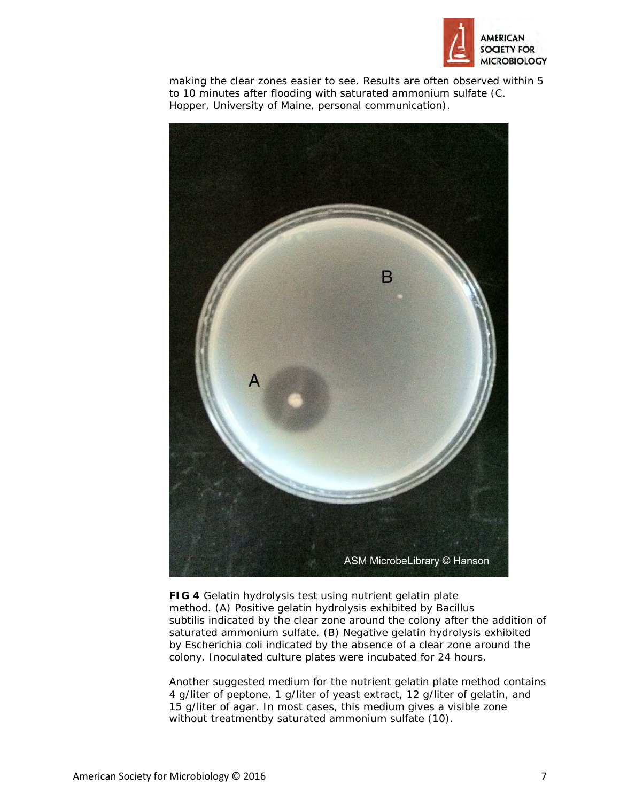

making the clear zones easier to see. Results are often observed within 5 to 10 minutes after flooding with saturated ammonium sulfate (C. Hopper, University of Maine, personal communication).



**FIG 4** Gelatin hydrolysis test using nutrient gelatin plate method. (A) Positive gelatin hydrolysis exhibited by *Bacillus subtilis* indicated by the clear zone around the colony after the addition of saturated ammonium sulfate. (B) Negative gelatin hydrolysis exhibited by *Escherichia coli* indicated by the absence of a clear zone around the colony. Inoculated culture plates were incubated for 24 hours.

Another suggested medium for the nutrient gelatin plate method contains 4 g/liter of peptone, 1 g/liter of yeast extract, 12 g/liter of gelatin, and 15 g/liter of agar. In most cases, this medium gives a visible zone without treatmentby saturated ammonium sulfate (10).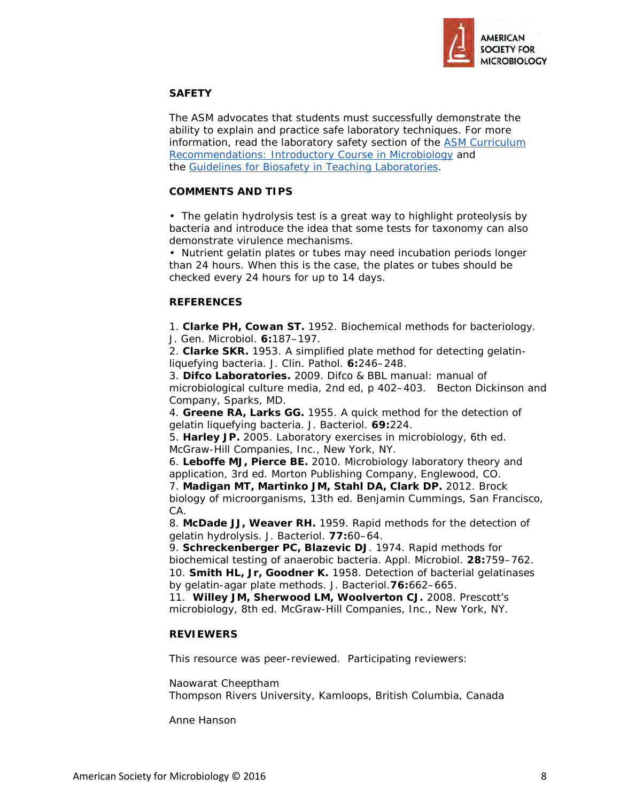

## **SAFETY**

The ASM advocates that students must successfully demonstrate the ability to explain and practice safe laboratory techniques. For more information, read the laboratory safety section of the ASM Curriculum [Recommendations: Introductory Course in Microbiology](http://www.asm.org/index.php/undergraduate-faculty/curriculum-resources-and-publications/29-education/undergraduate-faculty/213-asms-curriculum-recommendations-introductory-course-in-microbiology1) and the [Guidelines for Biosafety in Teaching Laboratories.](http://www.asm.org/index.php/microbelibrary/laboratory-safety-guidelines)

## **COMMENTS AND TIPS**

• The gelatin hydrolysis test is a great way to highlight proteolysis by bacteria and introduce the idea that some tests for taxonomy can also demonstrate virulence mechanisms.

• Nutrient gelatin plates or tubes may need incubation periods longer than 24 hours. When this is the case, the plates or tubes should be checked every 24 hours for up to 14 days.

## **REFERENCES**

1. **Clarke PH, Cowan ST.** 1952. Biochemical methods for bacteriology. J. Gen. Microbiol. **6:**187–197.

2. **Clarke SKR.** 1953. A simplified plate method for detecting gelatinliquefying bacteria. J. Clin. Pathol. **6:**246–248.

3. **Difco Laboratories.** 2009. Difco & BBL manual: manual of microbiological culture media, 2nd ed, p 402–403. Becton Dickinson and Company, Sparks, MD.

4. **Greene RA, Larks GG.** 1955. A quick method for the detection of gelatin liquefying bacteria. J. Bacteriol. **69:**224.

5. **Harley JP.** 2005. Laboratory exercises in microbiology, 6th ed. McGraw-Hill Companies, Inc., New York, NY.

6. **Leboffe MJ, Pierce BE.** 2010. Microbiology laboratory theory and application, 3rd ed. Morton Publishing Company, Englewood, CO.

7. **Madigan MT, Martinko JM, Stahl DA, Clark DP.** 2012. Brock biology of microorganisms, 13th ed. Benjamin Cummings, San Francisco, CA.

8. **McDade JJ, Weaver RH.** 1959. Rapid methods for the detection of gelatin hydrolysis. J. Bacteriol. **77:**60–64.

9. **Schreckenberger PC, Blazevic DJ**. 1974. Rapid methods for biochemical testing of anaerobic bacteria. Appl. Microbiol. **28:**759–762. 10. **Smith HL, Jr, Goodner K.** 1958. Detection of bacterial gelatinases by gelatin-agar plate methods. J. Bacteriol.**76:**662–665.

11. **Willey JM, Sherwood LM, Woolverton CJ.** 2008. Prescott's microbiology, 8th ed. McGraw-Hill Companies, Inc., New York, NY.

## **REVIEWERS**

This resource was peer-reviewed. Participating reviewers:

Naowarat Cheeptham Thompson Rivers University, Kamloops, British Columbia, Canada

Anne Hanson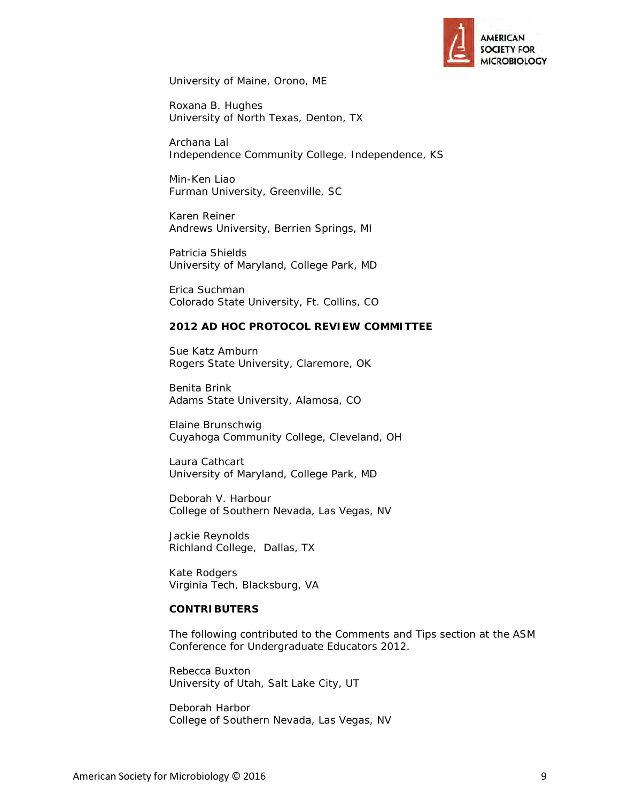

University of Maine, Orono, ME

Roxana B. Hughes University of North Texas, Denton, TX

Archana Lal Independence Community College, Independence, KS

Min-Ken Liao Furman University, Greenville, SC

Karen Reiner Andrews University, Berrien Springs, MI

Patricia Shields University of Maryland, College Park, MD

Erica Suchman Colorado State University, Ft. Collins, CO

#### **2012 AD HOC PROTOCOL REVIEW COMMITTEE**

Sue Katz Amburn Rogers State University, Claremore, OK

Benita Brink Adams State University, Alamosa, CO

Elaine Brunschwig Cuyahoga Community College, Cleveland, OH

Laura Cathcart University of Maryland, College Park, MD

Deborah V. Harbour College of Southern Nevada, Las Vegas, NV

Jackie Reynolds Richland College, Dallas, TX

Kate Rodgers Virginia Tech, Blacksburg, VA

#### **CONTRIBUTERS**

The following contributed to the Comments and Tips section at the ASM Conference for Undergraduate Educators 2012.

Rebecca Buxton University of Utah, Salt Lake City, UT

Deborah Harbor College of Southern Nevada, Las Vegas, NV